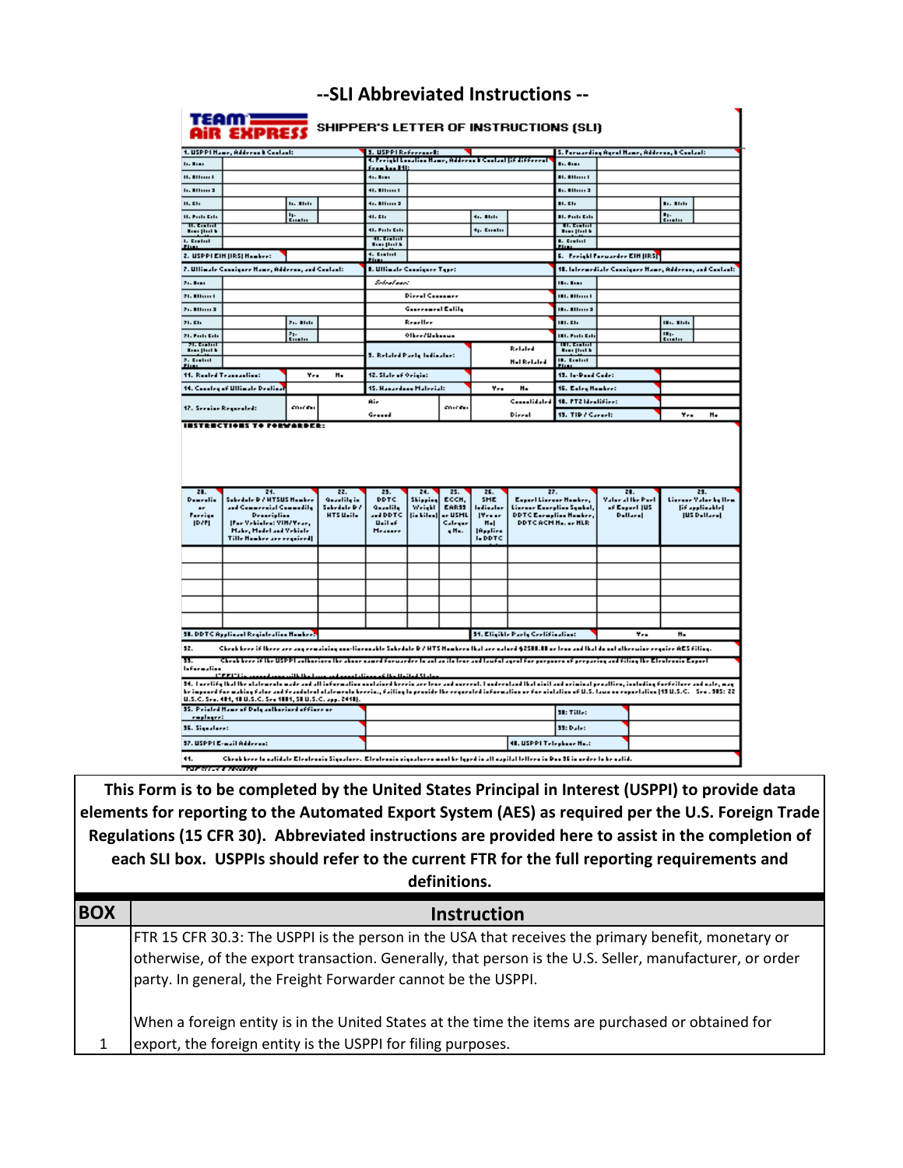## **--SLI Abbreviated Instructions --**

|                                      | 1. USPPI Name, Address & Cooland:                                                                                                                                                   |                 |                                                               |                                         |                                                                                                   |                    |                          |                                              | S. Persoarding Agril Name, Address, I Contact: |                                                        |                   |                      |
|--------------------------------------|-------------------------------------------------------------------------------------------------------------------------------------------------------------------------------------|-----------------|---------------------------------------------------------------|-----------------------------------------|---------------------------------------------------------------------------------------------------|--------------------|--------------------------|----------------------------------------------|------------------------------------------------|--------------------------------------------------------|-------------------|----------------------|
|                                      | <b>Lo Bone</b>                                                                                                                                                                      |                 |                                                               |                                         | 5. USPPI Reference 1:<br>4. Feeight Location Name, Address 1 Contact (694666eeed)<br>frankan Itt: |                    |                          |                                              | <b>Bookland</b>                                |                                                        |                   |                      |
| <b>U. Ellion I</b>                   |                                                                                                                                                                                     |                 |                                                               | des Roma                                |                                                                                                   |                    |                          |                                              | <b>Bl. Billion</b>                             |                                                        |                   |                      |
| <b>Including St</b>                  |                                                                                                                                                                                     |                 |                                                               | <b>41.000mm</b>                         |                                                                                                   |                    |                          |                                              | <b>But All Louis 3</b>                         |                                                        |                   |                      |
| $H.$ EL                              |                                                                                                                                                                                     | <b>By Blott</b> |                                                               | <b>G. Million 3</b>                     |                                                                                                   |                    |                          |                                              | 81. Eh                                         |                                                        | <b>Big Blott</b>  |                      |
| <b>H. Follo Edit</b>                 |                                                                                                                                                                                     | tp.<br>Roote    |                                                               | 41. Eh                                  |                                                                                                   |                    | tis Blitt                |                                              | <b>Bl. Polls Eds</b>                           |                                                        | <b>Bist</b>       |                      |
| <b>II. Brahal</b><br><b>Building</b> |                                                                                                                                                                                     |                 |                                                               | 41. Polic Edit                          |                                                                                                   |                    | tp. Emilio               |                                              | <b>H. Golin</b><br><b>Book</b> (Both)          |                                                        |                   |                      |
| <b>L. Endnd</b>                      |                                                                                                                                                                                     |                 |                                                               | 41. England<br><b>Bar (But k</b>        |                                                                                                   |                    |                          |                                              | <b>B. Control</b>                              |                                                        |                   |                      |
| than                                 | 2. USPPI EIN JIRSJ Hookee:                                                                                                                                                          |                 |                                                               | 4. Build                                |                                                                                                   |                    |                          |                                              |                                                | <b>E.</b> Preight Parwarder CIN (IRS <mark>)</mark>    |                   |                      |
|                                      | 7. Ufficiale Consiguee Name, Address, and Contact:                                                                                                                                  |                 |                                                               | E<br><b>L. Ullinale Consiguee Type:</b> |                                                                                                   |                    |                          |                                              |                                                | 11. Internetiale Consiguee Hane, Address, and Contact: |                   |                      |
| 24.5111                              |                                                                                                                                                                                     |                 |                                                               | Schedung                                |                                                                                                   |                    |                          |                                              | <b>Illian Bank</b>                             |                                                        |                   |                      |
| 21.000001                            |                                                                                                                                                                                     |                 |                                                               |                                         | <b>Direct Countains</b>                                                                           |                    |                          |                                              | <b>181. 811mm 1</b>                            |                                                        |                   |                      |
| 26.00000.2                           |                                                                                                                                                                                     |                 |                                                               |                                         | Generaard Estily                                                                                  |                    |                          |                                              | <b>1877 Billion 3</b>                          |                                                        |                   |                      |
| 21.016                               |                                                                                                                                                                                     | 21. Mili        |                                                               |                                         | Reaellee                                                                                          |                    |                          |                                              | 111. E11                                       |                                                        | <b>IB</b> o, Blob |                      |
| 21. Polic Edit                       |                                                                                                                                                                                     |                 |                                                               |                                         | Olbeeclasherous                                                                                   |                    |                          |                                              | <b>IBL Poli</b> Edi                            |                                                        | $II_1$ .          |                      |
| <b>21. Koolod</b>                    |                                                                                                                                                                                     | $\frac{24}{24}$ |                                                               |                                         |                                                                                                   |                    |                          |                                              | <b>HI. Golni</b>                               |                                                        | $\n  1$           |                      |
| <b>Building</b><br>2. Embol          |                                                                                                                                                                                     |                 |                                                               | 5. Related Paety Indiantee:             |                                                                                                   |                    |                          | Related                                      | <b>Book</b> (Both)<br><b>IR.</b> Coded         |                                                        |                   |                      |
| <b>Flux</b>                          |                                                                                                                                                                                     |                 |                                                               |                                         |                                                                                                   |                    |                          | <b>Hal Related</b>                           |                                                |                                                        |                   |                      |
|                                      | 11. Realed Teaseastics:                                                                                                                                                             | Y.,             | н.                                                            | 12. State of Origin:                    |                                                                                                   |                    |                          |                                              | 15. In-David Code:                             |                                                        |                   |                      |
|                                      | 14. Concley of Ullimate Dealing                                                                                                                                                     |                 |                                                               | 15. Hanardoon Halerial:                 |                                                                                                   |                    | <b>Yrs</b>               | н.                                           | 15. Ealey Howker:                              |                                                        |                   |                      |
|                                      | 17. Seening Regarded:                                                                                                                                                               | conces.         |                                                               |                                         | Aie<br>Connelidated<br>an is de                                                                   |                    |                          | 18. PT2 Mealifier:                           |                                                |                                                        |                   |                      |
|                                      |                                                                                                                                                                                     |                 |                                                               |                                         |                                                                                                   |                    |                          |                                              |                                                |                                                        |                   |                      |
|                                      | <b>INSTRUCTIONS TO PORWARDER:</b>                                                                                                                                                   |                 |                                                               | Grand                                   |                                                                                                   |                    |                          | Direal                                       | 15. TIP / Caracli                              |                                                        | Y.,               | н.                   |
|                                      |                                                                                                                                                                                     |                 |                                                               |                                         |                                                                                                   |                    |                          |                                              |                                                |                                                        |                   |                      |
| 21.<br>Denrelie                      | 21.<br>Selectedle D / HTSUS Headers                                                                                                                                                 |                 | 22.<br>Gearlily in                                            | 25.<br>DDTC.                            | 24.<br>Shipping                                                                                   | 25.<br>ECCH,       | 25.<br><b>SHE</b>        | 27.<br>Expert Liseaue Howkee,                |                                                | 21.<br><b>Value at the Puet</b>                        |                   | 25.                  |
| $\blacksquare$                       | and Commercial Commedity                                                                                                                                                            |                 | Sokedale R.A                                                  | وانامده                                 | Weight                                                                                            | <b>EARSS</b>       | ladiaalar                | Lineaue Europlina Symbol,                    |                                                | of Expert (US)                                         |                   | [if appliedde]       |
| <b>JDZPI</b>                         | Description<br>[For Vehicles: VIH/Year,                                                                                                                                             |                 | HTS Unils                                                     | <b>AND DEC</b><br>Unit of               | []                                                                                                | ** USHL<br>Calegar | Press<br>$H - I$         | <b>DDTCE</b> oroplisa Hooker,<br>DDTCACHHHLR |                                                | <b>Dellare</b>                                         |                   | [US Dallare]         |
|                                      | Hake, Hadel and Vehicle<br>Tille Hookee are ergoined]                                                                                                                               |                 |                                                               | <b>Heater</b>                           |                                                                                                   | ۹Η.                | Applies<br><b>I.DDTC</b> |                                              |                                                |                                                        |                   |                      |
|                                      |                                                                                                                                                                                     |                 |                                                               |                                         |                                                                                                   |                    |                          |                                              |                                                |                                                        |                   |                      |
|                                      |                                                                                                                                                                                     |                 |                                                               |                                         |                                                                                                   |                    |                          |                                              |                                                |                                                        |                   |                      |
|                                      |                                                                                                                                                                                     |                 |                                                               |                                         |                                                                                                   |                    |                          |                                              |                                                |                                                        |                   |                      |
|                                      |                                                                                                                                                                                     |                 |                                                               |                                         |                                                                                                   |                    |                          |                                              |                                                |                                                        |                   | Lineaue Value by Hem |
| Forriga                              |                                                                                                                                                                                     |                 |                                                               |                                         |                                                                                                   |                    |                          |                                              |                                                |                                                        |                   |                      |
|                                      |                                                                                                                                                                                     |                 |                                                               |                                         |                                                                                                   |                    |                          |                                              |                                                |                                                        |                   |                      |
|                                      |                                                                                                                                                                                     |                 |                                                               |                                         |                                                                                                   |                    |                          |                                              |                                                |                                                        |                   |                      |
|                                      | <b>SI. DDTC Applicant Registration Numbers</b>                                                                                                                                      |                 |                                                               |                                         |                                                                                                   |                    |                          | <b>31. Eligible Party Certification:</b>     |                                                | Y.,                                                    | $H -$             |                      |
| 52.                                  | Chrakkeer if Here are any ermaining one linearable Schedole D / HTS Hombern Had are ualord \$25H. H or lean and Had do not otherwine ergoire AES filing.                            |                 |                                                               |                                         |                                                                                                   |                    |                          |                                              |                                                |                                                        |                   |                      |
|                                      | Chrak heer if the USPPI authorions the above samed forwarder to ant an its tene and lawful agent for porposes of perparing and filing the Electronic Export.<br><b>IDEED</b>        |                 |                                                               |                                         |                                                                                                   |                    |                          |                                              |                                                |                                                        |                   |                      |
| π<br><b>Information</b>              | 34. Lucelify that the utalements must and all information unabined herein are tens and uncereal. Lumbers had baisit and usinitard proattics, including for feilure and ustr, may    |                 | بملطي الموائدا المخالف وممتاح لممعم ابعين وببيط وخالطا تبيعهم |                                         |                                                                                                   |                    |                          |                                              |                                                |                                                        |                   |                      |
|                                      | ke impoord for making falor and frandolent olatemento kerrina, failing to provide the requested information or for violation of U.S. Loan on reportation (19 U.S.C. - Seo . 915: 22 |                 |                                                               |                                         |                                                                                                   |                    |                          |                                              |                                                |                                                        |                   |                      |
|                                      | U.S.C. Sea. 414, 48 U.S.C. Sea 4814, SEU.S.C. app. 2448).<br>35. Peinted Name of Duty authorized of fines as                                                                        |                 |                                                               |                                         |                                                                                                   |                    |                          |                                              |                                                |                                                        |                   |                      |
| raphyrri.<br><b>SE. Signalare:</b>   |                                                                                                                                                                                     |                 |                                                               |                                         |                                                                                                   |                    |                          |                                              | SE: Tille:<br>33: Dulet                        |                                                        |                   |                      |

**This Form is to be completed by the United States Principal in Interest (USPPI) to provide data elements for reporting to the Automated Export System (AES) as required per the U.S. Foreign Trade Regulations (15 CFR 30). Abbreviated instructions are provided here to assist in the completion of each SLI box. USPPIs should refer to the current FTR for the full reporting requirements and definitions.**

| <b>BOX</b> | <b>Instruction</b>                                                                                                                                                                                                                                                             |
|------------|--------------------------------------------------------------------------------------------------------------------------------------------------------------------------------------------------------------------------------------------------------------------------------|
|            | FTR 15 CFR 30.3: The USPPI is the person in the USA that receives the primary benefit, monetary or<br>otherwise, of the export transaction. Generally, that person is the U.S. Seller, manufacturer, or order<br>party. In general, the Freight Forwarder cannot be the USPPI. |
|            | When a foreign entity is in the United States at the time the items are purchased or obtained for<br>export, the foreign entity is the USPPI for filing purposes.                                                                                                              |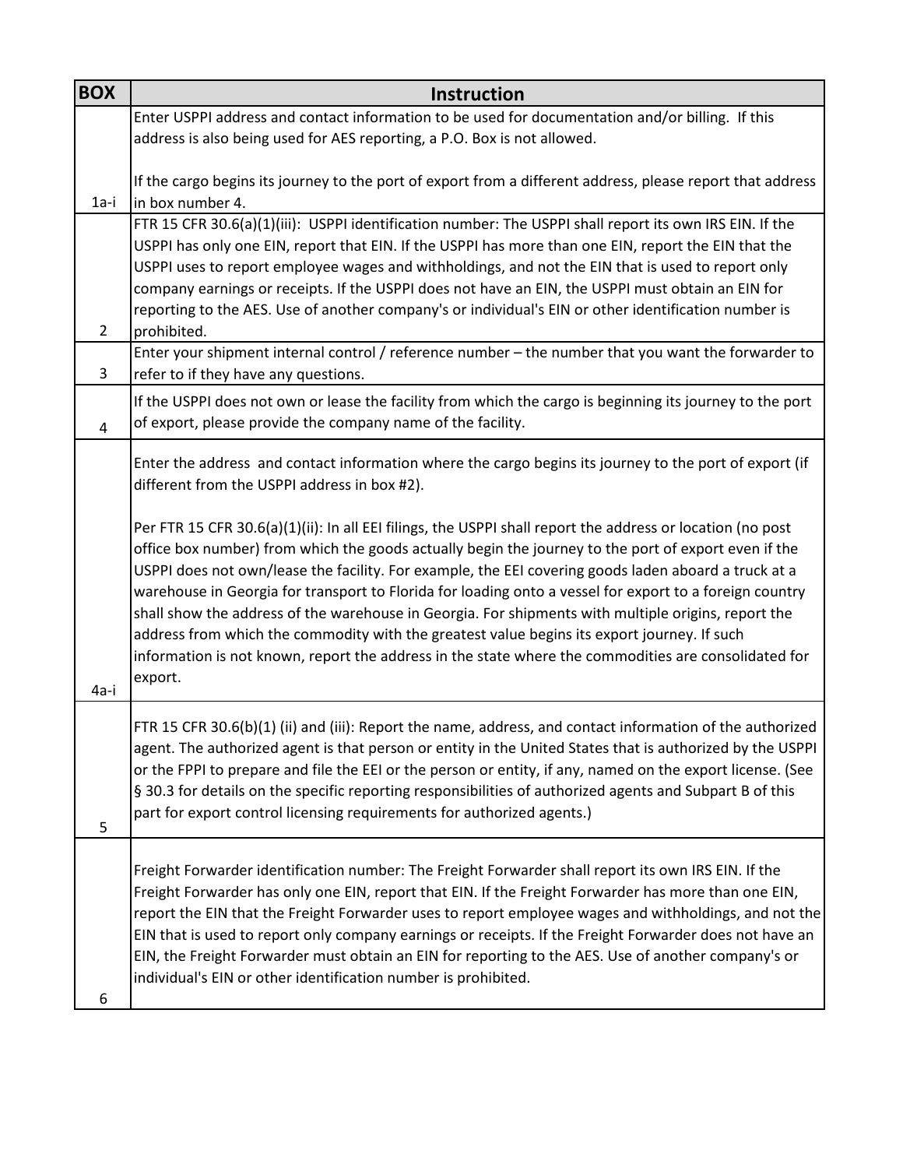| <b>BOX</b>     | <b>Instruction</b>                                                                                         |
|----------------|------------------------------------------------------------------------------------------------------------|
|                | Enter USPPI address and contact information to be used for documentation and/or billing. If this           |
|                | address is also being used for AES reporting, a P.O. Box is not allowed.                                   |
|                |                                                                                                            |
|                | If the cargo begins its journey to the port of export from a different address, please report that address |
| $1a-i$         | in box number 4.                                                                                           |
|                | FTR 15 CFR 30.6(a)(1)(iii): USPPI identification number: The USPPI shall report its own IRS EIN. If the    |
|                | USPPI has only one EIN, report that EIN. If the USPPI has more than one EIN, report the EIN that the       |
|                | USPPI uses to report employee wages and withholdings, and not the EIN that is used to report only          |
|                | company earnings or receipts. If the USPPI does not have an EIN, the USPPI must obtain an EIN for          |
|                | reporting to the AES. Use of another company's or individual's EIN or other identification number is       |
| $\overline{2}$ | prohibited.                                                                                                |
|                | Enter your shipment internal control / reference number - the number that you want the forwarder to        |
| 3              | refer to if they have any questions.                                                                       |
|                | If the USPPI does not own or lease the facility from which the cargo is beginning its journey to the port  |
| 4              | of export, please provide the company name of the facility.                                                |
|                |                                                                                                            |
|                | Enter the address and contact information where the cargo begins its journey to the port of export (if     |
|                | different from the USPPI address in box #2).                                                               |
|                | Per FTR 15 CFR 30.6(a)(1)(ii): In all EEI filings, the USPPI shall report the address or location (no post |
|                | office box number) from which the goods actually begin the journey to the port of export even if the       |
|                | USPPI does not own/lease the facility. For example, the EEI covering goods laden aboard a truck at a       |
|                | warehouse in Georgia for transport to Florida for loading onto a vessel for export to a foreign country    |
|                | shall show the address of the warehouse in Georgia. For shipments with multiple origins, report the        |
|                | address from which the commodity with the greatest value begins its export journey. If such                |
|                | information is not known, report the address in the state where the commodities are consolidated for       |
|                | export.                                                                                                    |
| 4a-i           |                                                                                                            |
|                | FTR 15 CFR 30.6(b)(1) (ii) and (iii): Report the name, address, and contact information of the authorized  |
|                | agent. The authorized agent is that person or entity in the United States that is authorized by the USPPI  |
|                | or the FPPI to prepare and file the EEI or the person or entity, if any, named on the export license. (See |
|                | § 30.3 for details on the specific reporting responsibilities of authorized agents and Subpart B of this   |
|                | part for export control licensing requirements for authorized agents.)                                     |
| 5              |                                                                                                            |
|                |                                                                                                            |
|                | Freight Forwarder identification number: The Freight Forwarder shall report its own IRS EIN. If the        |
|                | Freight Forwarder has only one EIN, report that EIN. If the Freight Forwarder has more than one EIN,       |
|                | report the EIN that the Freight Forwarder uses to report employee wages and withholdings, and not the      |
|                | EIN that is used to report only company earnings or receipts. If the Freight Forwarder does not have an    |
|                | EIN, the Freight Forwarder must obtain an EIN for reporting to the AES. Use of another company's or        |
|                | individual's EIN or other identification number is prohibited.                                             |
| 6              |                                                                                                            |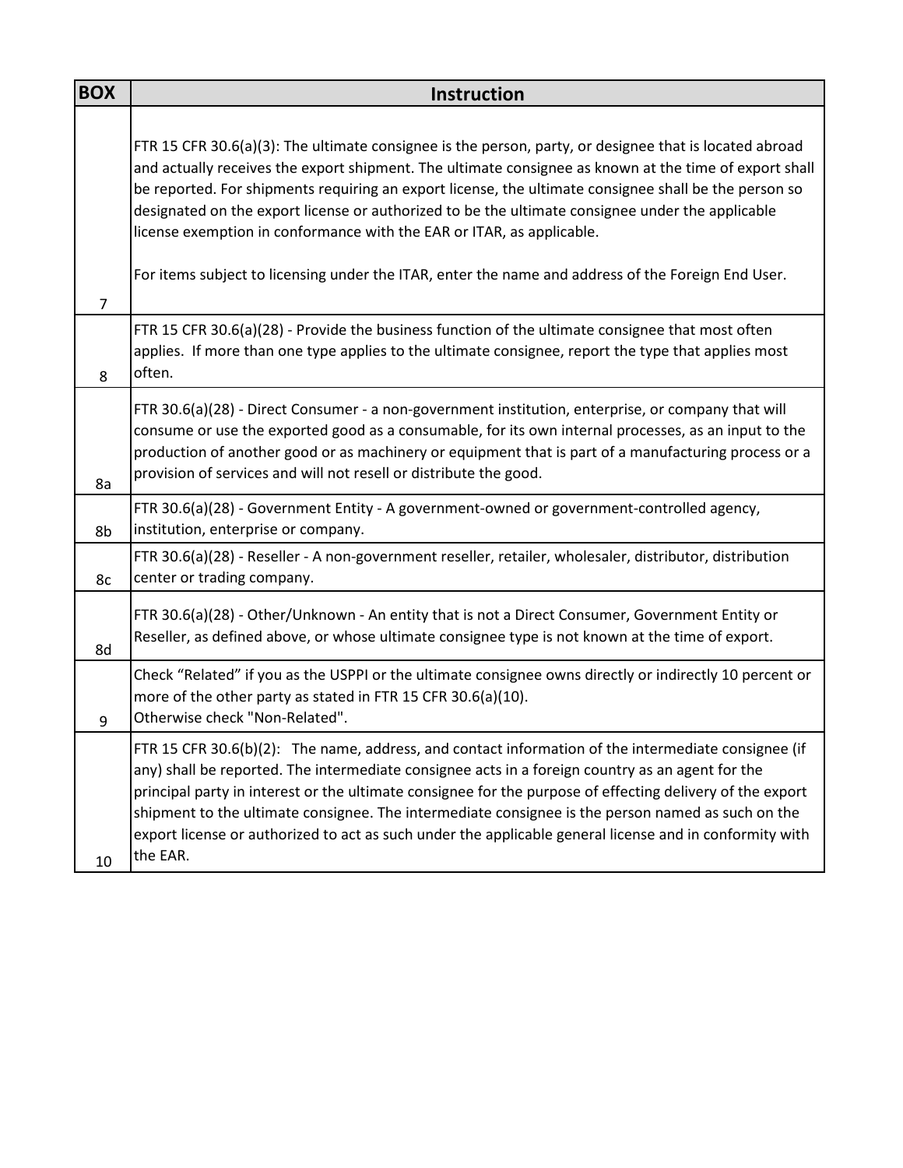| <b>BOX</b>     | <b>Instruction</b>                                                                                                                                                                                                                                                                                                                                                                                                                                                                                                                               |
|----------------|--------------------------------------------------------------------------------------------------------------------------------------------------------------------------------------------------------------------------------------------------------------------------------------------------------------------------------------------------------------------------------------------------------------------------------------------------------------------------------------------------------------------------------------------------|
|                | FTR 15 CFR 30.6(a)(3): The ultimate consignee is the person, party, or designee that is located abroad<br>and actually receives the export shipment. The ultimate consignee as known at the time of export shall<br>be reported. For shipments requiring an export license, the ultimate consignee shall be the person so<br>designated on the export license or authorized to be the ultimate consignee under the applicable<br>license exemption in conformance with the EAR or ITAR, as applicable.                                           |
| $\overline{7}$ | For items subject to licensing under the ITAR, enter the name and address of the Foreign End User.                                                                                                                                                                                                                                                                                                                                                                                                                                               |
| 8              | FTR 15 CFR 30.6(a)(28) - Provide the business function of the ultimate consignee that most often<br>applies. If more than one type applies to the ultimate consignee, report the type that applies most<br>often.                                                                                                                                                                                                                                                                                                                                |
| 8a             | FTR 30.6(a)(28) - Direct Consumer - a non-government institution, enterprise, or company that will<br>consume or use the exported good as a consumable, for its own internal processes, as an input to the<br>production of another good or as machinery or equipment that is part of a manufacturing process or a<br>provision of services and will not resell or distribute the good.                                                                                                                                                          |
| 8b             | FTR 30.6(a)(28) - Government Entity - A government-owned or government-controlled agency,<br>institution, enterprise or company.                                                                                                                                                                                                                                                                                                                                                                                                                 |
| 8c             | FTR 30.6(a)(28) - Reseller - A non-government reseller, retailer, wholesaler, distributor, distribution<br>center or trading company.                                                                                                                                                                                                                                                                                                                                                                                                            |
| 8d             | FTR 30.6(a)(28) - Other/Unknown - An entity that is not a Direct Consumer, Government Entity or<br>Reseller, as defined above, or whose ultimate consignee type is not known at the time of export.                                                                                                                                                                                                                                                                                                                                              |
| 9              | Check "Related" if you as the USPPI or the ultimate consignee owns directly or indirectly 10 percent or<br>more of the other party as stated in FTR 15 CFR 30.6(a)(10).<br>Otherwise check "Non-Related".                                                                                                                                                                                                                                                                                                                                        |
| 10             | FTR 15 CFR 30.6(b)(2): The name, address, and contact information of the intermediate consignee (if<br>any) shall be reported. The intermediate consignee acts in a foreign country as an agent for the<br>principal party in interest or the ultimate consignee for the purpose of effecting delivery of the export<br>shipment to the ultimate consignee. The intermediate consignee is the person named as such on the<br>export license or authorized to act as such under the applicable general license and in conformity with<br>the EAR. |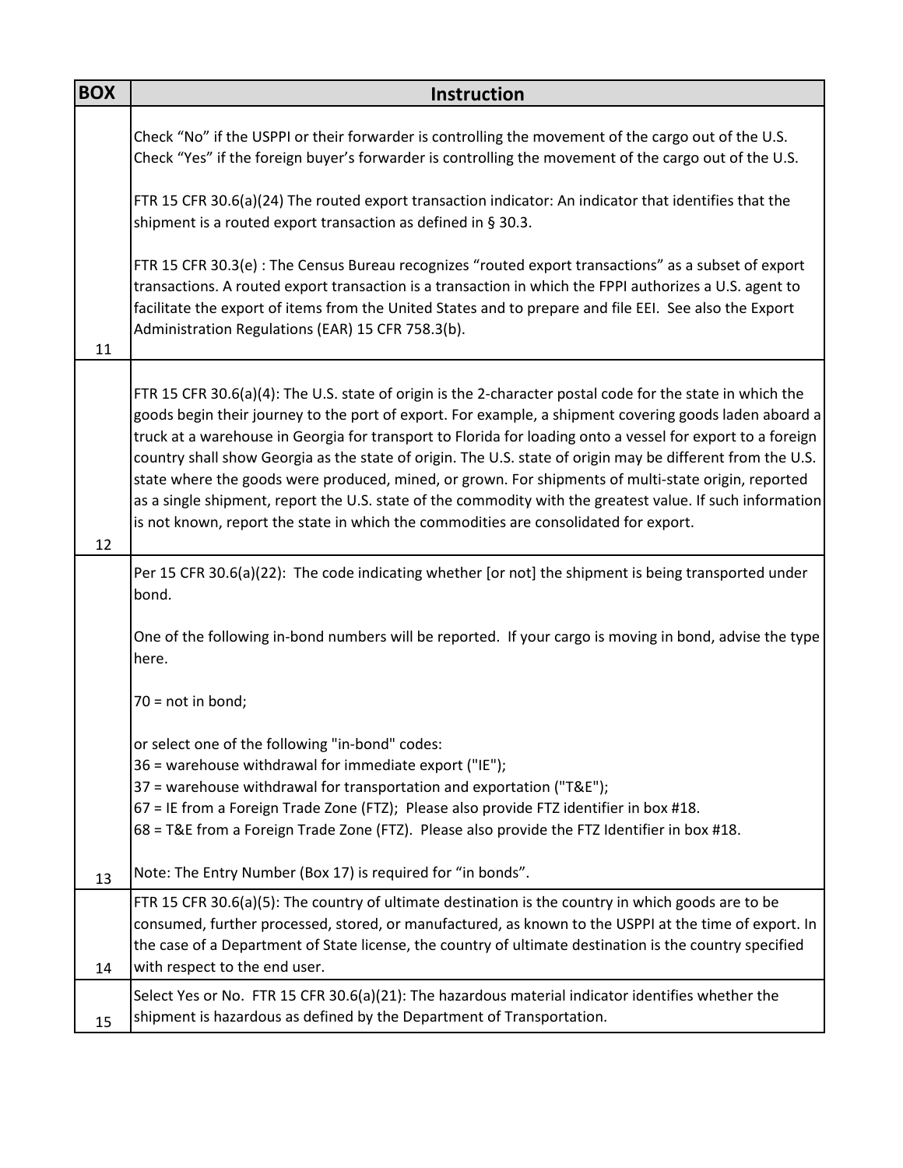| <b>BOX</b> | Instruction                                                                                                                                                                                                                                                                                                                                                                                                                                                                                                                                                                                                                                                                                                                                                 |
|------------|-------------------------------------------------------------------------------------------------------------------------------------------------------------------------------------------------------------------------------------------------------------------------------------------------------------------------------------------------------------------------------------------------------------------------------------------------------------------------------------------------------------------------------------------------------------------------------------------------------------------------------------------------------------------------------------------------------------------------------------------------------------|
|            | Check "No" if the USPPI or their forwarder is controlling the movement of the cargo out of the U.S.<br>Check "Yes" if the foreign buyer's forwarder is controlling the movement of the cargo out of the U.S.                                                                                                                                                                                                                                                                                                                                                                                                                                                                                                                                                |
|            | FTR 15 CFR 30.6(a)(24) The routed export transaction indicator: An indicator that identifies that the<br>shipment is a routed export transaction as defined in § 30.3.                                                                                                                                                                                                                                                                                                                                                                                                                                                                                                                                                                                      |
| 11         | FTR 15 CFR 30.3(e) : The Census Bureau recognizes "routed export transactions" as a subset of export<br>transactions. A routed export transaction is a transaction in which the FPPI authorizes a U.S. agent to<br>facilitate the export of items from the United States and to prepare and file EEI. See also the Export<br>Administration Regulations (EAR) 15 CFR 758.3(b).                                                                                                                                                                                                                                                                                                                                                                              |
| 12         | FTR 15 CFR 30.6(a)(4): The U.S. state of origin is the 2-character postal code for the state in which the<br>goods begin their journey to the port of export. For example, a shipment covering goods laden aboard a<br>truck at a warehouse in Georgia for transport to Florida for loading onto a vessel for export to a foreign<br>country shall show Georgia as the state of origin. The U.S. state of origin may be different from the U.S.<br>state where the goods were produced, mined, or grown. For shipments of multi-state origin, reported<br>as a single shipment, report the U.S. state of the commodity with the greatest value. If such information<br>is not known, report the state in which the commodities are consolidated for export. |
|            | Per 15 CFR 30.6(a)(22): The code indicating whether [or not] the shipment is being transported under<br>bond.                                                                                                                                                                                                                                                                                                                                                                                                                                                                                                                                                                                                                                               |
|            | One of the following in-bond numbers will be reported. If your cargo is moving in bond, advise the type<br>here.                                                                                                                                                                                                                                                                                                                                                                                                                                                                                                                                                                                                                                            |
|            | $70 = not in bond;$                                                                                                                                                                                                                                                                                                                                                                                                                                                                                                                                                                                                                                                                                                                                         |
|            | or select one of the following "in-bond" codes:<br>36 = warehouse withdrawal for immediate export ("IE");<br>37 = warehouse withdrawal for transportation and exportation ("T&E");<br>67 = IE from a Foreign Trade Zone (FTZ); Please also provide FTZ identifier in box #18.<br>68 = T&E from a Foreign Trade Zone (FTZ). Please also provide the FTZ Identifier in box #18.                                                                                                                                                                                                                                                                                                                                                                               |
| 13         | Note: The Entry Number (Box 17) is required for "in bonds".                                                                                                                                                                                                                                                                                                                                                                                                                                                                                                                                                                                                                                                                                                 |
| 14         | FTR 15 CFR 30.6(a)(5): The country of ultimate destination is the country in which goods are to be<br>consumed, further processed, stored, or manufactured, as known to the USPPI at the time of export. In<br>the case of a Department of State license, the country of ultimate destination is the country specified<br>with respect to the end user.                                                                                                                                                                                                                                                                                                                                                                                                     |
| 15         | Select Yes or No. FTR 15 CFR 30.6(a)(21): The hazardous material indicator identifies whether the<br>shipment is hazardous as defined by the Department of Transportation.                                                                                                                                                                                                                                                                                                                                                                                                                                                                                                                                                                                  |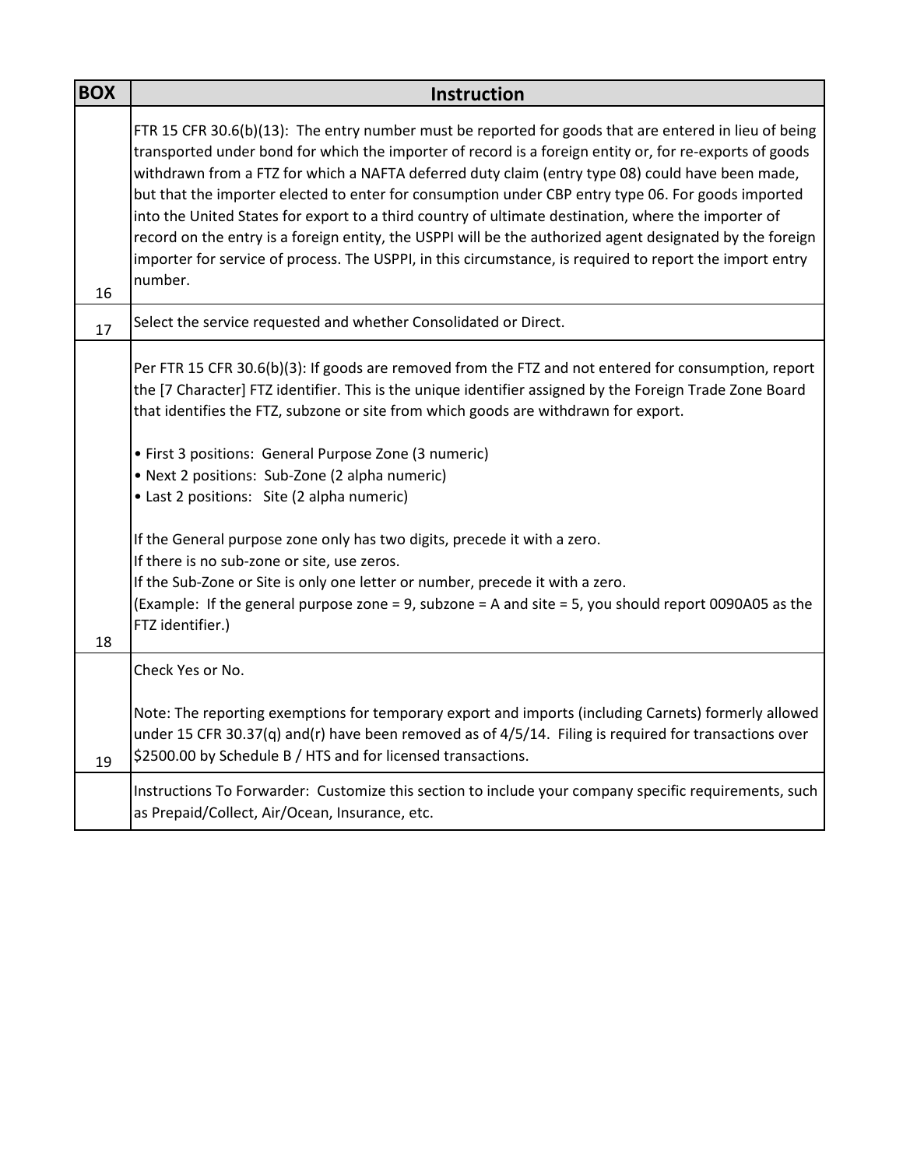| <b>BOX</b> | <b>Instruction</b>                                                                                                                                                                                                                                                                                                                                                                                                                                                                                                                                                                                                                                                                                                                                                    |
|------------|-----------------------------------------------------------------------------------------------------------------------------------------------------------------------------------------------------------------------------------------------------------------------------------------------------------------------------------------------------------------------------------------------------------------------------------------------------------------------------------------------------------------------------------------------------------------------------------------------------------------------------------------------------------------------------------------------------------------------------------------------------------------------|
| 16         | FTR 15 CFR 30.6(b)(13): The entry number must be reported for goods that are entered in lieu of being<br>transported under bond for which the importer of record is a foreign entity or, for re-exports of goods<br>withdrawn from a FTZ for which a NAFTA deferred duty claim (entry type 08) could have been made,<br>but that the importer elected to enter for consumption under CBP entry type 06. For goods imported<br>into the United States for export to a third country of ultimate destination, where the importer of<br>record on the entry is a foreign entity, the USPPI will be the authorized agent designated by the foreign<br>importer for service of process. The USPPI, in this circumstance, is required to report the import entry<br>number. |
| 17         | Select the service requested and whether Consolidated or Direct.                                                                                                                                                                                                                                                                                                                                                                                                                                                                                                                                                                                                                                                                                                      |
|            | Per FTR 15 CFR 30.6(b)(3): If goods are removed from the FTZ and not entered for consumption, report<br>the [7 Character] FTZ identifier. This is the unique identifier assigned by the Foreign Trade Zone Board<br>that identifies the FTZ, subzone or site from which goods are withdrawn for export.<br>• First 3 positions: General Purpose Zone (3 numeric)<br>• Next 2 positions: Sub-Zone (2 alpha numeric)<br>• Last 2 positions: Site (2 alpha numeric)<br>If the General purpose zone only has two digits, precede it with a zero.<br>If there is no sub-zone or site, use zeros.<br>If the Sub-Zone or Site is only one letter or number, precede it with a zero.                                                                                          |
| 18         | (Example: If the general purpose zone = 9, subzone = A and site = 5, you should report 0090A05 as the<br>FTZ identifier.)                                                                                                                                                                                                                                                                                                                                                                                                                                                                                                                                                                                                                                             |
|            | Check Yes or No.                                                                                                                                                                                                                                                                                                                                                                                                                                                                                                                                                                                                                                                                                                                                                      |
| 19         | Note: The reporting exemptions for temporary export and imports (including Carnets) formerly allowed<br>under 15 CFR 30.37(q) and(r) have been removed as of 4/5/14. Filing is required for transactions over<br>\$2500.00 by Schedule B / HTS and for licensed transactions.                                                                                                                                                                                                                                                                                                                                                                                                                                                                                         |
|            | Instructions To Forwarder: Customize this section to include your company specific requirements, such<br>as Prepaid/Collect, Air/Ocean, Insurance, etc.                                                                                                                                                                                                                                                                                                                                                                                                                                                                                                                                                                                                               |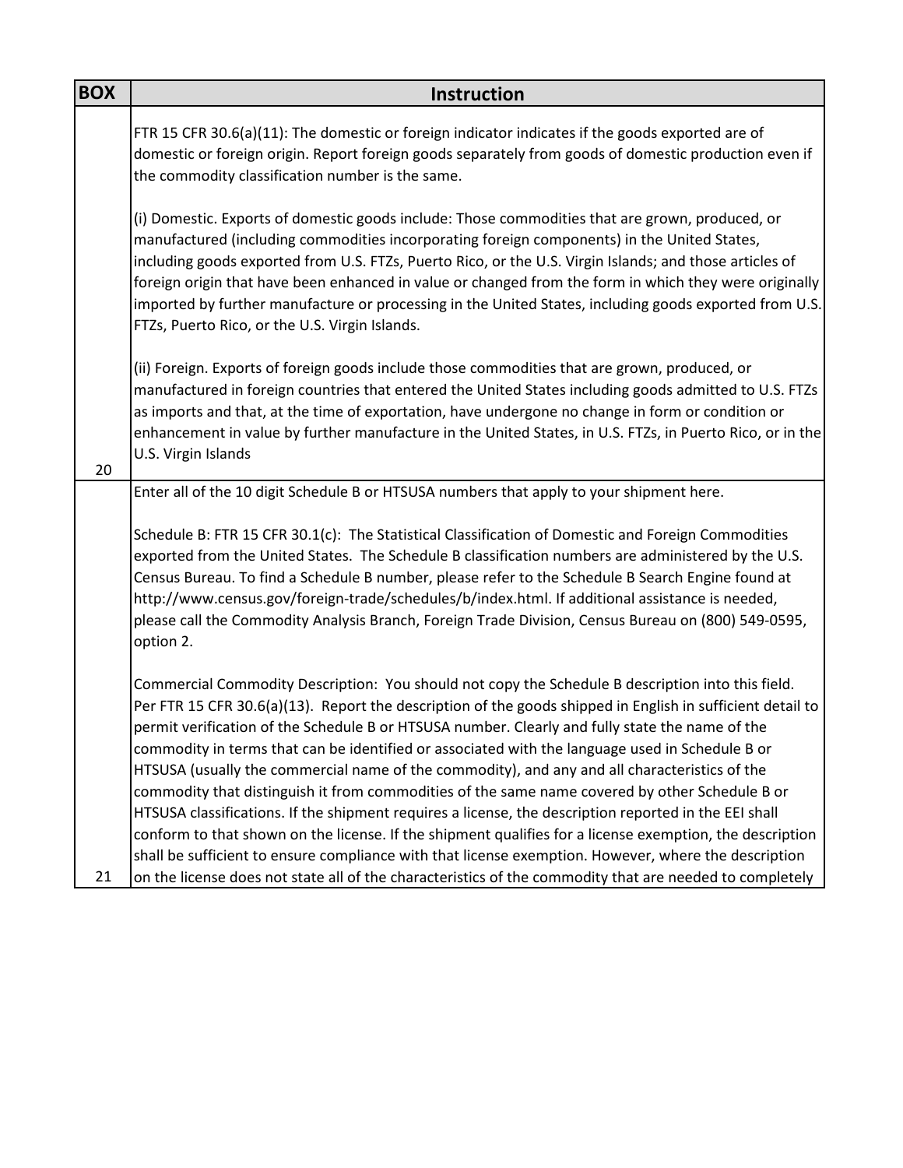| <b>BOX</b> | <b>Instruction</b>                                                                                                                                                                                                                                                                                                                                                                                                                                                                                                                                                                                                                                                                                                                                                                                                                                                                                                                                    |
|------------|-------------------------------------------------------------------------------------------------------------------------------------------------------------------------------------------------------------------------------------------------------------------------------------------------------------------------------------------------------------------------------------------------------------------------------------------------------------------------------------------------------------------------------------------------------------------------------------------------------------------------------------------------------------------------------------------------------------------------------------------------------------------------------------------------------------------------------------------------------------------------------------------------------------------------------------------------------|
|            | FTR 15 CFR 30.6(a)(11): The domestic or foreign indicator indicates if the goods exported are of<br>domestic or foreign origin. Report foreign goods separately from goods of domestic production even if<br>the commodity classification number is the same.                                                                                                                                                                                                                                                                                                                                                                                                                                                                                                                                                                                                                                                                                         |
|            | (i) Domestic. Exports of domestic goods include: Those commodities that are grown, produced, or<br>manufactured (including commodities incorporating foreign components) in the United States,<br>including goods exported from U.S. FTZs, Puerto Rico, or the U.S. Virgin Islands; and those articles of<br>foreign origin that have been enhanced in value or changed from the form in which they were originally<br>imported by further manufacture or processing in the United States, including goods exported from U.S.<br>FTZs, Puerto Rico, or the U.S. Virgin Islands.                                                                                                                                                                                                                                                                                                                                                                       |
| 20         | (ii) Foreign. Exports of foreign goods include those commodities that are grown, produced, or<br>manufactured in foreign countries that entered the United States including goods admitted to U.S. FTZs<br>as imports and that, at the time of exportation, have undergone no change in form or condition or<br>enhancement in value by further manufacture in the United States, in U.S. FTZs, in Puerto Rico, or in the<br>U.S. Virgin Islands                                                                                                                                                                                                                                                                                                                                                                                                                                                                                                      |
|            | Enter all of the 10 digit Schedule B or HTSUSA numbers that apply to your shipment here.                                                                                                                                                                                                                                                                                                                                                                                                                                                                                                                                                                                                                                                                                                                                                                                                                                                              |
|            | Schedule B: FTR 15 CFR 30.1(c): The Statistical Classification of Domestic and Foreign Commodities<br>exported from the United States. The Schedule B classification numbers are administered by the U.S.<br>Census Bureau. To find a Schedule B number, please refer to the Schedule B Search Engine found at<br>http://www.census.gov/foreign-trade/schedules/b/index.html. If additional assistance is needed,<br>please call the Commodity Analysis Branch, Foreign Trade Division, Census Bureau on (800) 549-0595,<br>option 2.                                                                                                                                                                                                                                                                                                                                                                                                                 |
|            | Commercial Commodity Description: You should not copy the Schedule B description into this field.<br>Per FTR 15 CFR 30.6(a)(13). Report the description of the goods shipped in English in sufficient detail to<br>permit verification of the Schedule B or HTSUSA number. Clearly and fully state the name of the<br>commodity in terms that can be identified or associated with the language used in Schedule B or<br>HTSUSA (usually the commercial name of the commodity), and any and all characteristics of the<br>commodity that distinguish it from commodities of the same name covered by other Schedule B or<br>HTSUSA classifications. If the shipment requires a license, the description reported in the EEI shall<br>conform to that shown on the license. If the shipment qualifies for a license exemption, the description<br>shall be sufficient to ensure compliance with that license exemption. However, where the description |
| 21         | on the license does not state all of the characteristics of the commodity that are needed to completely                                                                                                                                                                                                                                                                                                                                                                                                                                                                                                                                                                                                                                                                                                                                                                                                                                               |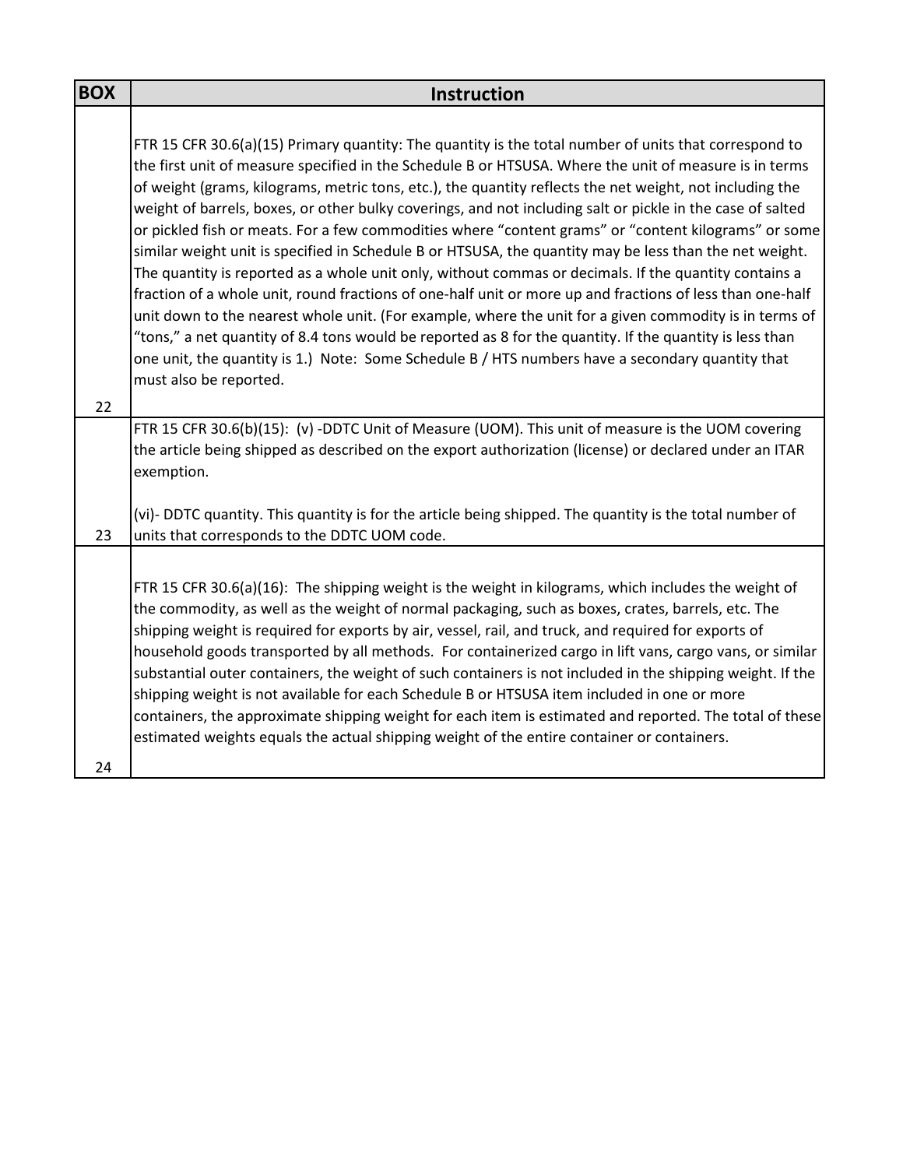| <b>BOX</b> | <b>Instruction</b>                                                                                                                                                                                                                                                                                                                                                                                                                                                                                                                                                                                                                                                                                                                                                                                                                                                                                                                                                                                                                                                                                                                                                                                                                     |
|------------|----------------------------------------------------------------------------------------------------------------------------------------------------------------------------------------------------------------------------------------------------------------------------------------------------------------------------------------------------------------------------------------------------------------------------------------------------------------------------------------------------------------------------------------------------------------------------------------------------------------------------------------------------------------------------------------------------------------------------------------------------------------------------------------------------------------------------------------------------------------------------------------------------------------------------------------------------------------------------------------------------------------------------------------------------------------------------------------------------------------------------------------------------------------------------------------------------------------------------------------|
|            | FTR 15 CFR 30.6(a)(15) Primary quantity: The quantity is the total number of units that correspond to<br>the first unit of measure specified in the Schedule B or HTSUSA. Where the unit of measure is in terms<br>of weight (grams, kilograms, metric tons, etc.), the quantity reflects the net weight, not including the<br>weight of barrels, boxes, or other bulky coverings, and not including salt or pickle in the case of salted<br>or pickled fish or meats. For a few commodities where "content grams" or "content kilograms" or some<br>similar weight unit is specified in Schedule B or HTSUSA, the quantity may be less than the net weight.<br>The quantity is reported as a whole unit only, without commas or decimals. If the quantity contains a<br>fraction of a whole unit, round fractions of one-half unit or more up and fractions of less than one-half<br>unit down to the nearest whole unit. (For example, where the unit for a given commodity is in terms of<br>"tons," a net quantity of 8.4 tons would be reported as 8 for the quantity. If the quantity is less than<br>one unit, the quantity is 1.) Note: Some Schedule B / HTS numbers have a secondary quantity that<br>must also be reported. |
| 22         |                                                                                                                                                                                                                                                                                                                                                                                                                                                                                                                                                                                                                                                                                                                                                                                                                                                                                                                                                                                                                                                                                                                                                                                                                                        |
|            | FTR 15 CFR 30.6(b)(15): (v) -DDTC Unit of Measure (UOM). This unit of measure is the UOM covering<br>the article being shipped as described on the export authorization (license) or declared under an ITAR<br>exemption.                                                                                                                                                                                                                                                                                                                                                                                                                                                                                                                                                                                                                                                                                                                                                                                                                                                                                                                                                                                                              |
| 23         | (vi)- DDTC quantity. This quantity is for the article being shipped. The quantity is the total number of<br>units that corresponds to the DDTC UOM code.                                                                                                                                                                                                                                                                                                                                                                                                                                                                                                                                                                                                                                                                                                                                                                                                                                                                                                                                                                                                                                                                               |
|            | FTR 15 CFR 30.6(a)(16): The shipping weight is the weight in kilograms, which includes the weight of<br>the commodity, as well as the weight of normal packaging, such as boxes, crates, barrels, etc. The<br>shipping weight is required for exports by air, vessel, rail, and truck, and required for exports of<br>household goods transported by all methods. For containerized cargo in lift vans, cargo vans, or similar<br>substantial outer containers, the weight of such containers is not included in the shipping weight. If the<br>shipping weight is not available for each Schedule B or HTSUSA item included in one or more<br>containers, the approximate shipping weight for each item is estimated and reported. The total of these<br>estimated weights equals the actual shipping weight of the entire container or containers.                                                                                                                                                                                                                                                                                                                                                                                   |
| 24         |                                                                                                                                                                                                                                                                                                                                                                                                                                                                                                                                                                                                                                                                                                                                                                                                                                                                                                                                                                                                                                                                                                                                                                                                                                        |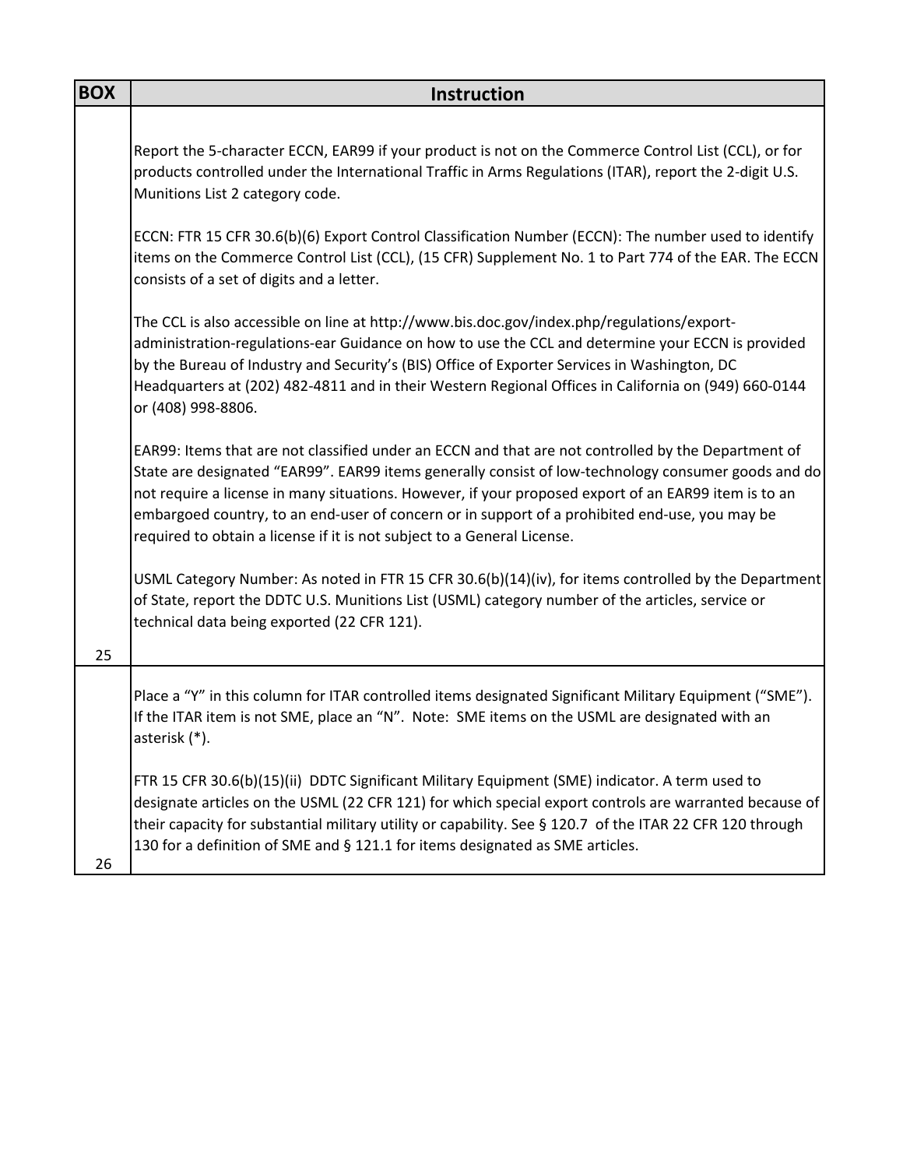| <b>BOX</b> | <b>Instruction</b>                                                                                                                                                                                                                                                                                                                                                                                                                                                                              |
|------------|-------------------------------------------------------------------------------------------------------------------------------------------------------------------------------------------------------------------------------------------------------------------------------------------------------------------------------------------------------------------------------------------------------------------------------------------------------------------------------------------------|
|            |                                                                                                                                                                                                                                                                                                                                                                                                                                                                                                 |
|            | Report the 5-character ECCN, EAR99 if your product is not on the Commerce Control List (CCL), or for<br>products controlled under the International Traffic in Arms Regulations (ITAR), report the 2-digit U.S.<br>Munitions List 2 category code.                                                                                                                                                                                                                                              |
|            | ECCN: FTR 15 CFR 30.6(b)(6) Export Control Classification Number (ECCN): The number used to identify<br>items on the Commerce Control List (CCL), (15 CFR) Supplement No. 1 to Part 774 of the EAR. The ECCN<br>consists of a set of digits and a letter.                                                                                                                                                                                                                                       |
|            | The CCL is also accessible on line at http://www.bis.doc.gov/index.php/regulations/export-<br>administration-regulations-ear Guidance on how to use the CCL and determine your ECCN is provided<br>by the Bureau of Industry and Security's (BIS) Office of Exporter Services in Washington, DC<br>Headquarters at (202) 482-4811 and in their Western Regional Offices in California on (949) 660-0144<br>or (408) 998-8806.                                                                   |
|            | EAR99: Items that are not classified under an ECCN and that are not controlled by the Department of<br>State are designated "EAR99". EAR99 items generally consist of low-technology consumer goods and do<br>not require a license in many situations. However, if your proposed export of an EAR99 item is to an<br>embargoed country, to an end-user of concern or in support of a prohibited end-use, you may be<br>required to obtain a license if it is not subject to a General License. |
| 25         | USML Category Number: As noted in FTR 15 CFR 30.6(b)(14)(iv), for items controlled by the Department<br>of State, report the DDTC U.S. Munitions List (USML) category number of the articles, service or<br>technical data being exported (22 CFR 121).                                                                                                                                                                                                                                         |
|            |                                                                                                                                                                                                                                                                                                                                                                                                                                                                                                 |
|            | Place a "Y" in this column for ITAR controlled items designated Significant Military Equipment ("SME").<br>If the ITAR item is not SME, place an "N". Note: SME items on the USML are designated with an<br>asterisk (*).                                                                                                                                                                                                                                                                       |
| 26         | FTR 15 CFR 30.6(b)(15)(ii) DDTC Significant Military Equipment (SME) indicator. A term used to<br>designate articles on the USML (22 CFR 121) for which special export controls are warranted because of<br>their capacity for substantial military utility or capability. See § 120.7 of the ITAR 22 CFR 120 through<br>130 for a definition of SME and § 121.1 for items designated as SME articles.                                                                                          |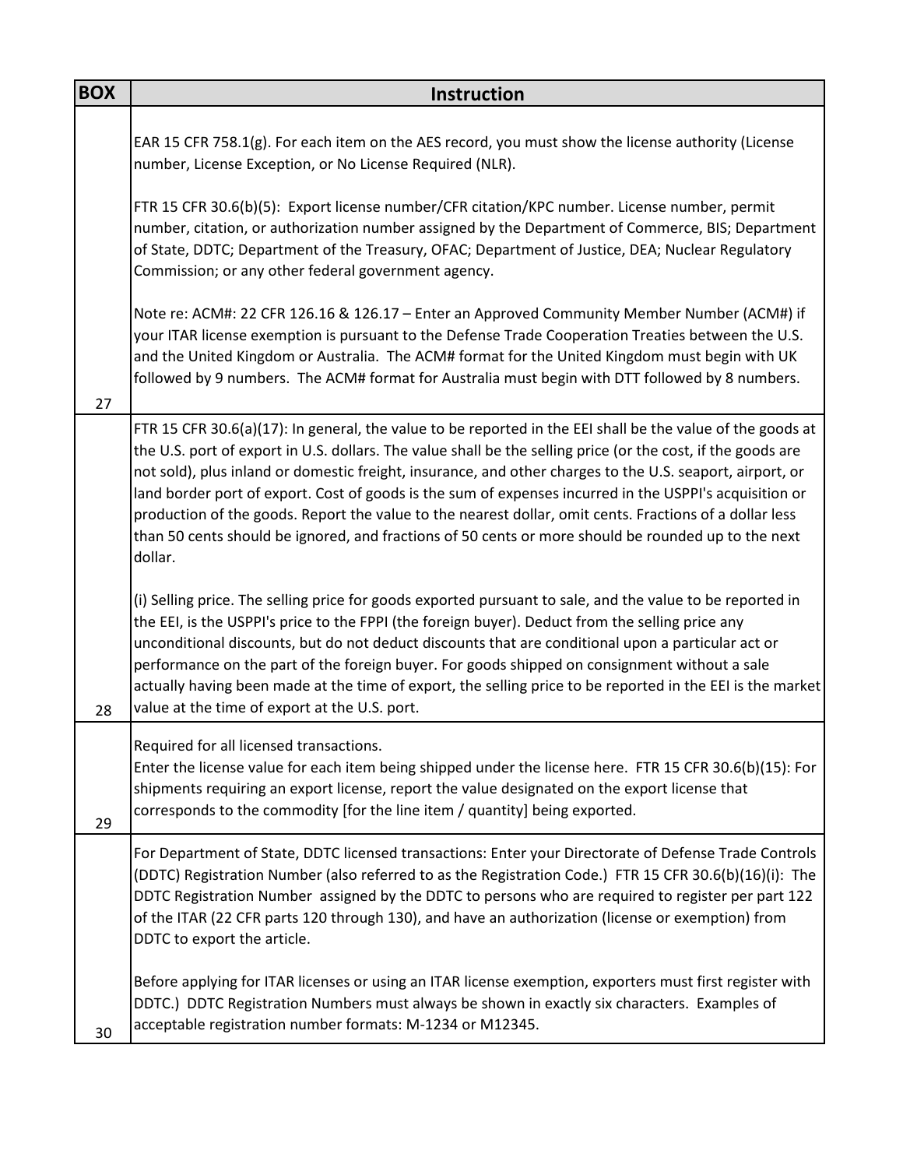| <b>BOX</b> | Instruction                                                                                                                                                                                                                                                                                                                                                                                                                                                                                                                                                                                                                                                                     |
|------------|---------------------------------------------------------------------------------------------------------------------------------------------------------------------------------------------------------------------------------------------------------------------------------------------------------------------------------------------------------------------------------------------------------------------------------------------------------------------------------------------------------------------------------------------------------------------------------------------------------------------------------------------------------------------------------|
|            | EAR 15 CFR 758.1(g). For each item on the AES record, you must show the license authority (License<br>number, License Exception, or No License Required (NLR).                                                                                                                                                                                                                                                                                                                                                                                                                                                                                                                  |
|            | FTR 15 CFR 30.6(b)(5): Export license number/CFR citation/KPC number. License number, permit<br>number, citation, or authorization number assigned by the Department of Commerce, BIS; Department<br>of State, DDTC; Department of the Treasury, OFAC; Department of Justice, DEA; Nuclear Regulatory<br>Commission; or any other federal government agency.                                                                                                                                                                                                                                                                                                                    |
| 27         | Note re: ACM#: 22 CFR 126.16 & 126.17 - Enter an Approved Community Member Number (ACM#) if<br>your ITAR license exemption is pursuant to the Defense Trade Cooperation Treaties between the U.S.<br>and the United Kingdom or Australia. The ACM# format for the United Kingdom must begin with UK<br>followed by 9 numbers. The ACM# format for Australia must begin with DTT followed by 8 numbers.                                                                                                                                                                                                                                                                          |
|            | FTR 15 CFR 30.6(a)(17): In general, the value to be reported in the EEI shall be the value of the goods at<br>the U.S. port of export in U.S. dollars. The value shall be the selling price (or the cost, if the goods are<br>not sold), plus inland or domestic freight, insurance, and other charges to the U.S. seaport, airport, or<br>land border port of export. Cost of goods is the sum of expenses incurred in the USPPI's acquisition or<br>production of the goods. Report the value to the nearest dollar, omit cents. Fractions of a dollar less<br>than 50 cents should be ignored, and fractions of 50 cents or more should be rounded up to the next<br>dollar. |
| 28         | (i) Selling price. The selling price for goods exported pursuant to sale, and the value to be reported in<br>the EEI, is the USPPI's price to the FPPI (the foreign buyer). Deduct from the selling price any<br>unconditional discounts, but do not deduct discounts that are conditional upon a particular act or<br>performance on the part of the foreign buyer. For goods shipped on consignment without a sale<br>actually having been made at the time of export, the selling price to be reported in the EEI is the market<br>value at the time of export at the U.S. port.                                                                                             |
| 29         | Required for all licensed transactions.<br>Enter the license value for each item being shipped under the license here. FTR 15 CFR 30.6(b)(15): For<br>shipments requiring an export license, report the value designated on the export license that<br>corresponds to the commodity [for the line item / quantity] being exported.                                                                                                                                                                                                                                                                                                                                              |
|            | For Department of State, DDTC licensed transactions: Enter your Directorate of Defense Trade Controls<br>(DDTC) Registration Number (also referred to as the Registration Code.) FTR 15 CFR 30.6(b)(16)(i): The<br>DDTC Registration Number assigned by the DDTC to persons who are required to register per part 122<br>of the ITAR (22 CFR parts 120 through 130), and have an authorization (license or exemption) from<br>DDTC to export the article.                                                                                                                                                                                                                       |
| 30         | Before applying for ITAR licenses or using an ITAR license exemption, exporters must first register with<br>DDTC.) DDTC Registration Numbers must always be shown in exactly six characters. Examples of<br>acceptable registration number formats: M-1234 or M12345.                                                                                                                                                                                                                                                                                                                                                                                                           |